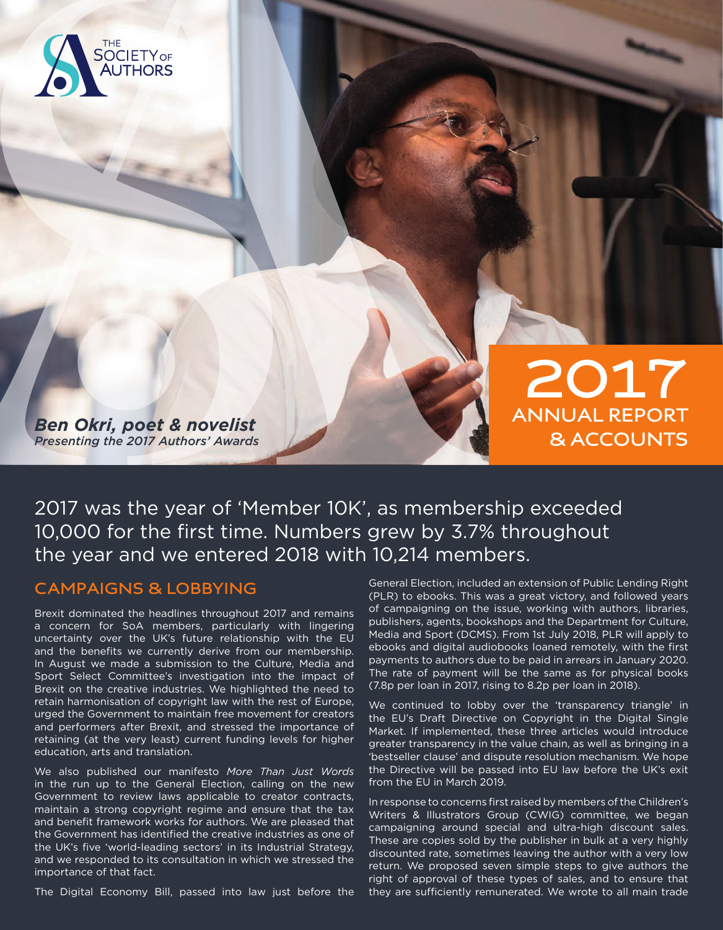

*Ben Okri, poet & novelist Presenting the 2017 Authors' Awards*

**2017 ANNUAL REPORT & ACCOUNTS**

2017 was the year of 'Member 10K', as membership exceeded 10,000 for the first time. Numbers grew by 3.7% throughout the year and we entered 2018 with 10,214 members.

## **CAMPAIGNS & LOBBYING**

Brexit dominated the headlines throughout 2017 and remains a concern for SoA members, particularly with lingering uncertainty over the UK's future relationship with the EU and the benefits we currently derive from our membership. In August we made a submission to the Culture, Media and Sport Select Committee's investigation into the impact of Brexit on the creative industries. We highlighted the need to retain harmonisation of copyright law with the rest of Europe, urged the Government to maintain free movement for creators and performers after Brexit, and stressed the importance of retaining (at the very least) current funding levels for higher education, arts and translation.

We also published our manifesto *More Than Just Words* in the run up to the General Election, calling on the new Government to review laws applicable to creator contracts, maintain a strong copyright regime and ensure that the tax and benefit framework works for authors. We are pleased that the Government has identified the creative industries as one of the UK's five 'world-leading sectors' in its Industrial Strategy, and we responded to its consultation in which we stressed the importance of that fact.

The Digital Economy Bill, passed into law just before the

General Election, included an extension of Public Lending Right (PLR) to ebooks. This was a great victory, and followed years of campaigning on the issue, working with authors, libraries, publishers, agents, bookshops and the Department for Culture, Media and Sport (DCMS). From 1st July 2018, PLR will apply to ebooks and digital audiobooks loaned remotely, with the first payments to authors due to be paid in arrears in January 2020. The rate of payment will be the same as for physical books (7.8p per loan in 2017, rising to 8.2p per loan in 2018).

We continued to lobby over the 'transparency triangle' in the EU's Draft Directive on Copyright in the Digital Single Market. If implemented, these three articles would introduce greater transparency in the value chain, as well as bringing in a 'bestseller clause' and dispute resolution mechanism. We hope the Directive will be passed into EU law before the UK's exit from the EU in March 2019.

In response to concerns first raised by members of the Children's Writers & Illustrators Group (CWIG) committee, we began campaigning around special and ultra-high discount sales. These are copies sold by the publisher in bulk at a very highly discounted rate, sometimes leaving the author with a very low return. We proposed seven simple steps to give authors the right of approval of these types of sales, and to ensure that they are sufficiently remunerated. We wrote to all main trade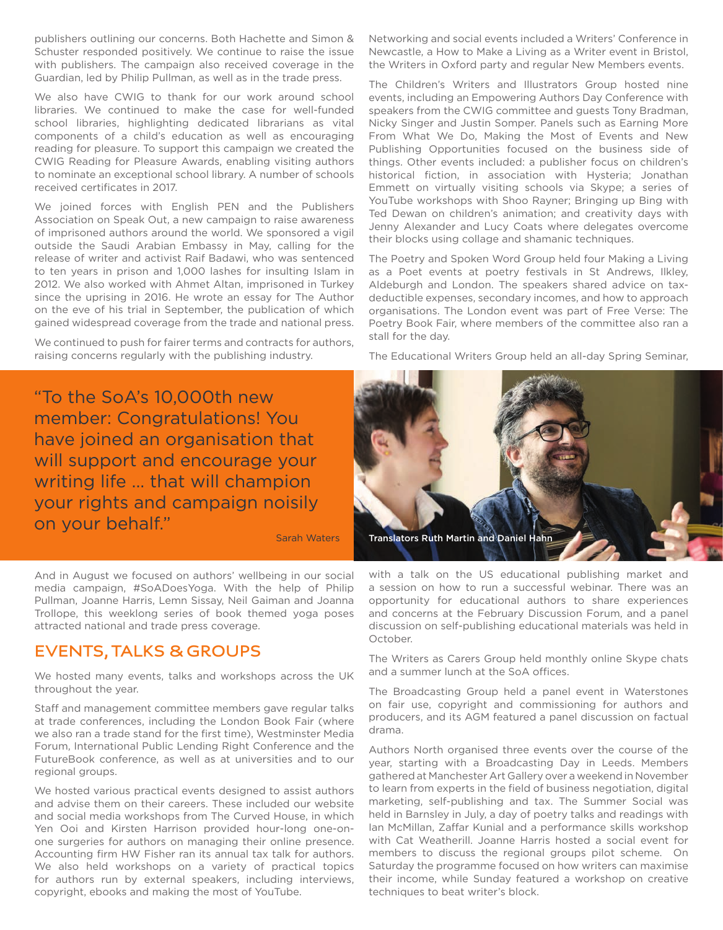publishers outlining our concerns. Both Hachette and Simon & Schuster responded positively. We continue to raise the issue with publishers. The campaign also received coverage in the Guardian, led by Philip Pullman, as well as in the trade press.

We also have CWIG to thank for our work around school libraries. We continued to make the case for well-funded school libraries, highlighting dedicated librarians as vital components of a child's education as well as encouraging reading for pleasure. To support this campaign we created the CWIG Reading for Pleasure Awards, enabling visiting authors to nominate an exceptional school library. A number of schools received certificates in 2017.

We joined forces with English PEN and the Publishers Association on Speak Out, a new campaign to raise awareness of imprisoned authors around the world. We sponsored a vigil outside the Saudi Arabian Embassy in May, calling for the release of writer and activist Raif Badawi, who was sentenced to ten years in prison and 1,000 lashes for insulting Islam in 2012. We also worked with Ahmet Altan, imprisoned in Turkey since the uprising in 2016. He wrote an essay for The Author on the eve of his trial in September, the publication of which gained widespread coverage from the trade and national press.

We continued to push for fairer terms and contracts for authors, raising concerns regularly with the publishing industry.

Networking and social events included a Writers' Conference in Newcastle, a How to Make a Living as a Writer event in Bristol, the Writers in Oxford party and regular New Members events.

The Children's Writers and Illustrators Group hosted nine events, including an Empowering Authors Day Conference with speakers from the CWIG committee and guests Tony Bradman, Nicky Singer and Justin Somper. Panels such as Earning More From What We Do, Making the Most of Events and New Publishing Opportunities focused on the business side of things. Other events included: a publisher focus on children's historical fiction, in association with Hysteria; Jonathan Emmett on virtually visiting schools via Skype; a series of YouTube workshops with Shoo Rayner; Bringing up Bing with Ted Dewan on children's animation; and creativity days with Jenny Alexander and Lucy Coats where delegates overcome their blocks using collage and shamanic techniques.

The Poetry and Spoken Word Group held four Making a Living as a Poet events at poetry festivals in St Andrews, Ilkley, Aldeburgh and London. The speakers shared advice on taxdeductible expenses, secondary incomes, and how to approach organisations. The London event was part of Free Verse: The Poetry Book Fair, where members of the committee also ran a stall for the day.

The Educational Writers Group held an all-day Spring Seminar,

"To the SoA's 10,000th new member: Congratulations! You have joined an organisation that will support and encourage your writing life ... that will champion your rights and campaign noisily on your behalf."

Sarah Waters

And in August we focused on authors' wellbeing in our social media campaign, #SoADoesYoga. With the help of Philip Pullman, Joanne Harris, Lemn Sissay, Neil Gaiman and Joanna Trollope, this weeklong series of book themed yoga poses attracted national and trade press coverage.

## **EVENTS, TALKS & GROUPS**

We hosted many events, talks and workshops across the UK throughout the year.

Staff and management committee members gave regular talks at trade conferences, including the London Book Fair (where we also ran a trade stand for the first time), Westminster Media Forum, International Public Lending Right Conference and the FutureBook conference, as well as at universities and to our regional groups.

We hosted various practical events designed to assist authors and advise them on their careers. These included our website and social media workshops from The Curved House, in which Yen Ooi and Kirsten Harrison provided hour-long one-onone surgeries for authors on managing their online presence. Accounting firm HW Fisher ran its annual tax talk for authors. We also held workshops on a variety of practical topics for authors run by external speakers, including interviews, copyright, ebooks and making the most of YouTube.



with a talk on the US educational publishing market and a session on how to run a successful webinar. There was an opportunity for educational authors to share experiences and concerns at the February Discussion Forum, and a panel discussion on self-publishing educational materials was held in October.

The Writers as Carers Group held monthly online Skype chats and a summer lunch at the SoA offices.

The Broadcasting Group held a panel event in Waterstones on fair use, copyright and commissioning for authors and producers, and its AGM featured a panel discussion on factual drama.

Authors North organised three events over the course of the year, starting with a Broadcasting Day in Leeds. Members gathered at Manchester Art Gallery over a weekend in November to learn from experts in the field of business negotiation, digital marketing, self-publishing and tax. The Summer Social was held in Barnsley in July, a day of poetry talks and readings with Ian McMillan, Zaffar Kunial and a performance skills workshop with Cat Weatherill. Joanne Harris hosted a social event for members to discuss the regional groups pilot scheme. On Saturday the programme focused on how writers can maximise their income, while Sunday featured a workshop on creative techniques to beat writer's block.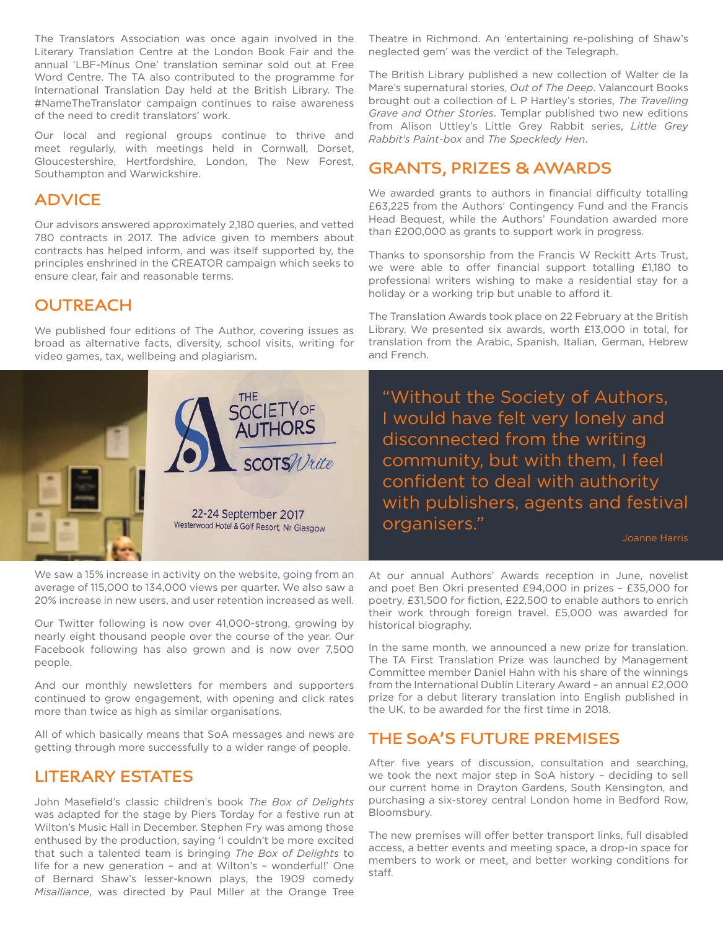The Translators Association was once again involved in the Literary Translation Centre at the London Book Fair and the annual 'LBF-Minus One' translation seminar sold out at Free Word Centre. The TA also contributed to the programme for International Translation Day held at the British Library. The #NameTheTranslator campaign continues to raise awareness of the need to credit translators' work.

Our local and regional groups continue to thrive and meet regularly, with meetings held in Cornwall, Dorset, Gloucestershire, Hertfordshire, London, The New Forest, Southampton and Warwickshire.

## **ADVICE**

Our advisors answered approximately 2,180 queries, and vetted 780 contracts in 2017. The advice given to members about contracts has helped inform, and was itself supported by, the principles enshrined in the CREATOR campaign which seeks to ensure clear, fair and reasonable terms.

## **OUTREACH**

We published four editions of The Author, covering issues as broad as alternative facts, diversity, school visits, writing for video games, tax, wellbeing and plagiarism.



We saw a 15% increase in activity on the website, going from an average of 115,000 to 134,000 views per quarter. We also saw a 20% increase in new users, and user retention increased as well.

Our Twitter following is now over 41,000-strong, growing by nearly eight thousand people over the course of the year. Our Facebook following has also grown and is now over 7,500 people.

And our monthly newsletters for members and supporters continued to grow engagement, with opening and click rates more than twice as high as similar organisations.

All of which basically means that SoA messages and news are getting through more successfully to a wider range of people.

## **LITERARY ESTATES**

John Masefield's classic children's book *The Box of Delights* was adapted for the stage by Piers Torday for a festive run at Wilton's Music Hall in December. Stephen Fry was among those enthused by the production, saying 'I couldn't be more excited that such a talented team is bringing *The Box of Delights* to life for a new generation – and at Wilton's – wonderful!' One of Bernard Shaw's lesser-known plays, the 1909 comedy *Misalliance*, was directed by Paul Miller at the Orange Tree

Theatre in Richmond. An 'entertaining re-polishing of Shaw's neglected gem' was the verdict of the Telegraph.

The British Library published a new collection of Walter de la Mare's supernatural stories, *Out of The Deep*. Valancourt Books brought out a collection of L P Hartley's stories, *The Travelling Grave and Other Stories*. Templar published two new editions from Alison Uttley's Little Grey Rabbit series, *Little Grey Rabbit's Paint-box* and *The Speckledy Hen*.

## **GRANTS, PRIZES & AWARDS**

We awarded grants to authors in financial difficulty totalling £63,225 from the Authors' Contingency Fund and the Francis Head Bequest, while the Authors' Foundation awarded more than £200,000 as grants to support work in progress.

Thanks to sponsorship from the Francis W Reckitt Arts Trust, we were able to offer financial support totalling £1,180 to professional writers wishing to make a residential stay for a holiday or a working trip but unable to afford it.

The Translation Awards took place on 22 February at the British Library. We presented six awards, worth £13,000 in total, for translation from the Arabic, Spanish, Italian, German, Hebrew and French.

"Without the Society of Authors, I would have felt very lonely and disconnected from the writing community, but with them, I feel confident to deal with authority with publishers, agents and festival organisers."

Joanne Harris

At our annual Authors' Awards reception in June, novelist and poet Ben Okri presented £94,000 in prizes – £35,000 for poetry, £31,500 for fiction, £22,500 to enable authors to enrich their work through foreign travel. £5,000 was awarded for historical biography.

In the same month, we announced a new prize for translation. The TA First Translation Prize was launched by Management Committee member Daniel Hahn with his share of the winnings from the International Dublin Literary Award – an annual £2,000 prize for a debut literary translation into English published in the UK, to be awarded for the first time in 2018.

## **THE SoA'S FUTURE PREMISES**

After five years of discussion, consultation and searching, we took the next major step in SoA history – deciding to sell our current home in Drayton Gardens, South Kensington, and purchasing a six-storey central London home in Bedford Row, Bloomsbury.

The new premises will offer better transport links, full disabled access, a better events and meeting space, a drop-in space for members to work or meet, and better working conditions for staff.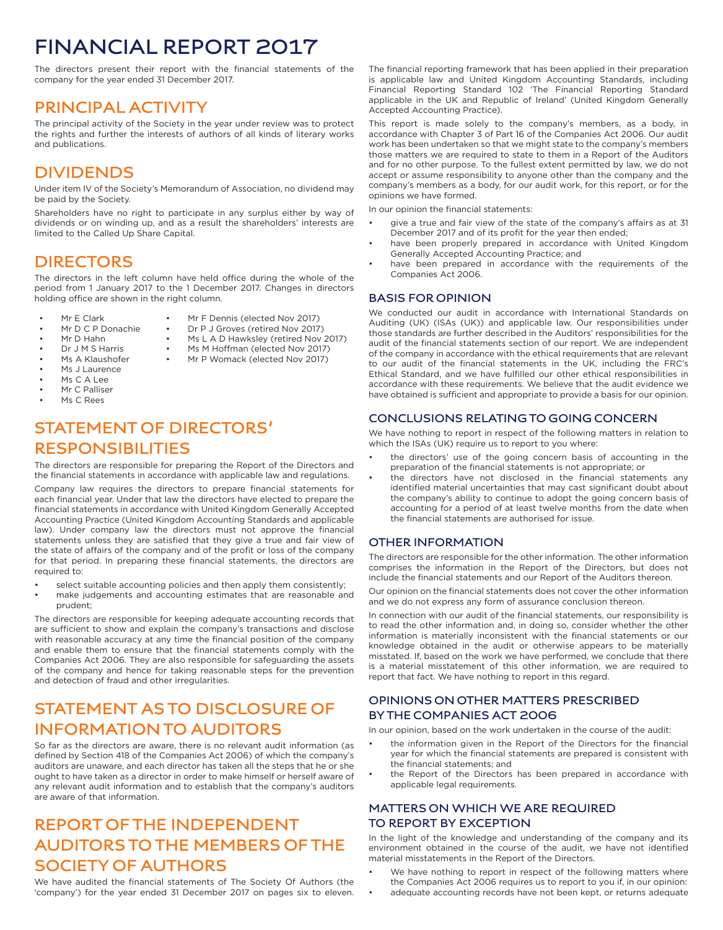# **FINANCIAL REPORT 2017**

The directors present their report with the financial statements of the company for the year ended 31 December 2017.

## **PRINCIPAL ACTIVITY**

The principal activity of the Society in the year under review was to protect the rights and further the interests of authors of all kinds of literary works and publications.

## **DIVIDENDS**

Under item IV of the Society's Memorandum of Association, no dividend may be paid by the Society.

Shareholders have no right to participate in any surplus either by way of dividends or on winding up, and as a result the shareholders' interests are limited to the Called Up Share Capital.

## **DIRECTORS**

The directors in the left column have held office during the whole of the period from 1 January 2017 to the 1 December 2017. Changes in directors holding office are shown in the right column.

> • Mr F Dennis (elected Nov 2017)<br>• Dr P I Groves (retired Nov 2017) Dr P J Groves (retired Nov 2017) Ms L A D Hawksley (retired Nov 2017) • Ms M Hoffman (elected Nov 2017) Mr P Womack (elected Nov 2017)

- Mr E Clark
- Mr D C P Donachie
- Mr D Hahn
- Dr J M S Harris
- Ms A Klaushofer
- Ms J Laurence
- $M_S \cap \Delta$  |  $\rho \rho$
- Mr C Palliser
- Ms C Rees
- **STATEMENT OF DIRECTORS' RESPONSIBILITIES**

The directors are responsible for preparing the Report of the Directors and the financial statements in accordance with applicable law and regulations.

Company law requires the directors to prepare financial statements for each financial year. Under that law the directors have elected to prepare the financial statements in accordance with United Kingdom Generally Accepted Accounting Practice (United Kingdom Accounting Standards and applicable law). Under company law the directors must not approve the financial statements unless they are satisfied that they give a true and fair view of the state of affairs of the company and of the profit or loss of the company for that period. In preparing these financial statements, the directors are required to:

- select suitable accounting policies and then apply them consistently;
- make judgements and accounting estimates that are reasonable and prudent;

The directors are responsible for keeping adequate accounting records that are sufficient to show and explain the company's transactions and disclose with reasonable accuracy at any time the financial position of the company and enable them to ensure that the financial statements comply with the Companies Act 2006. They are also responsible for safeguarding the assets of the company and hence for taking reasonable steps for the prevention and detection of fraud and other irregularities.

## **STATEMENT AS TO DISCLOSURE OF INFORMATION TO AUDITORS**

So far as the directors are aware, there is no relevant audit information (as defined by Section 418 of the Companies Act 2006) of which the company's auditors are unaware, and each director has taken all the steps that he or she ought to have taken as a director in order to make himself or herself aware of any relevant audit information and to establish that the company's auditors are aware of that information.

## **REPORT OF THE INDEPENDENT AUDITORS TO THE MEMBERS OF THE SOCIETY OF AUTHORS**

We have audited the financial statements of The Society Of Authors (the 'company') for the year ended 31 December 2017 on pages six to eleven.

The financial reporting framework that has been applied in their preparation is applicable law and United Kingdom Accounting Standards, including Financial Reporting Standard 102 'The Financial Reporting Standard applicable in the UK and Republic of Ireland' (United Kingdom Generally Accepted Accounting Practice).

This report is made solely to the company's members, as a body, in accordance with Chapter 3 of Part 16 of the Companies Act 2006. Our audit work has been undertaken so that we might state to the company's members those matters we are required to state to them in a Report of the Auditors and for no other purpose. To the fullest extent permitted by law, we do not accept or assume responsibility to anyone other than the company and the company's members as a body, for our audit work, for this report, or for the opinions we have formed.

In our opinion the financial statements:

- give a true and fair view of the state of the company's affairs as at 31 December 2017 and of its profit for the year then ended;
- have been properly prepared in accordance with United Kingdom Generally Accepted Accounting Practice; and
- have been prepared in accordance with the requirements of the Companies Act 2006.

### **BASIS FOR OPINION**

We conducted our audit in accordance with International Standards on Auditing (UK) (ISAs (UK)) and applicable law. Our responsibilities under those standards are further described in the Auditors' responsibilities for the audit of the financial statements section of our report. We are independent of the company in accordance with the ethical requirements that are relevant to our audit of the financial statements in the UK, including the FRC's Ethical Standard, and we have fulfilled our other ethical responsibilities in accordance with these requirements. We believe that the audit evidence we have obtained is sufficient and appropriate to provide a basis for our opinion.

### **CONCLUSIONS RELATING TO GOING CONCERN**

We have nothing to report in respect of the following matters in relation to which the ISAs (UK) require us to report to you where:

- the directors' use of the going concern basis of accounting in the preparation of the financial statements is not appropriate; or
- the directors have not disclosed in the financial statements any identified material uncertainties that may cast significant doubt about the company's ability to continue to adopt the going concern basis of accounting for a period of at least twelve months from the date when the financial statements are authorised for issue.

### **OTHER INFORMATION**

The directors are responsible for the other information. The other information comprises the information in the Report of the Directors, but does not include the financial statements and our Report of the Auditors thereon.

Our opinion on the financial statements does not cover the other information and we do not express any form of assurance conclusion thereon.

In connection with our audit of the financial statements, our responsibility is to read the other information and, in doing so, consider whether the other information is materially inconsistent with the financial statements or our knowledge obtained in the audit or otherwise appears to be materially misstated. If, based on the work we have performed, we conclude that there is a material misstatement of this other information, we are required to report that fact. We have nothing to report in this regard.

### **OPINIONS ON OTHER MATTERS PRESCRIBED BY THE COMPANIES ACT 2006**

In our opinion, based on the work undertaken in the course of the audit:

- the information given in the Report of the Directors for the financial year for which the financial statements are prepared is consistent with the financial statements; and
- the Report of the Directors has been prepared in accordance with applicable legal requirements.

### **MATTERS ON WHICH WE ARE REQUIRED TO REPORT BY EXCEPTION**

In the light of the knowledge and understanding of the company and its environment obtained in the course of the audit, we have not identified material misstatements in the Report of the Directors.

- We have nothing to report in respect of the following matters where the Companies Act 2006 requires us to report to you if, in our opinion:
- adequate accounting records have not been kept, or returns adequate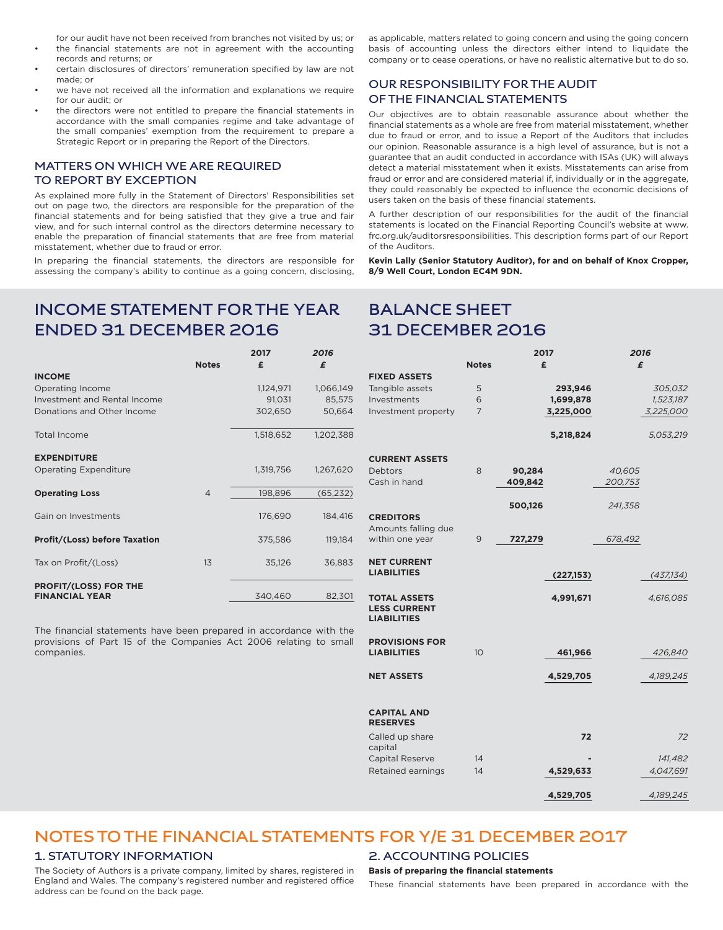for our audit have not been received from branches not visited by us; or the financial statements are not in agreement with the accounting records and returns; or

- certain disclosures of directors' remuneration specified by law are not made; or
- we have not received all the information and explanations we require for our audit; or
- the directors were not entitled to prepare the financial statements in accordance with the small companies regime and take advantage of the small companies' exemption from the requirement to prepare a Strategic Report or in preparing the Report of the Directors.

### **MATTERS ON WHICH WE ARE REQUIRED TO REPORT BY EXCEPTION**

As explained more fully in the Statement of Directors' Responsibilities set out on page two, the directors are responsible for the preparation of the financial statements and for being satisfied that they give a true and fair view, and for such internal control as the directors determine necessary to enable the preparation of financial statements that are free from material misstatement, whether due to fraud or error.

In preparing the financial statements, the directors are responsible for assessing the company's ability to continue as a going concern, disclosing, as applicable, matters related to going concern and using the going concern basis of accounting unless the directors either intend to liquidate the company or to cease operations, or have no realistic alternative but to do so.

### **OUR RESPONSIBILITY FOR THE AUDIT OF THE FINANCIAL STATEMENTS**

Our objectives are to obtain reasonable assurance about whether the financial statements as a whole are free from material misstatement, whether due to fraud or error, and to issue a Report of the Auditors that includes our opinion. Reasonable assurance is a high level of assurance, but is not a guarantee that an audit conducted in accordance with ISAs (UK) will always detect a material misstatement when it exists. Misstatements can arise from fraud or error and are considered material if, individually or in the aggregate, they could reasonably be expected to influence the economic decisions of users taken on the basis of these financial statements.

A further description of our responsibilities for the audit of the financial statements is located on the Financial Reporting Council's website at www. frc.org.uk/auditorsresponsibilities. This description forms part of our Report of the Auditors.

**Kevin Lally (Senior Statutory Auditor), for and on behalf of Knox Cropper, 8/9 Well Court, London EC4M 9DN.**

## **INCOME STATEMENT FOR THE YEAR ENDED 31 DECEMBER 2016**

|                                                       |                | 2017      | 2016      |
|-------------------------------------------------------|----------------|-----------|-----------|
|                                                       | <b>Notes</b>   | £         | £         |
| <b>INCOME</b>                                         |                |           |           |
| Operating Income                                      |                | 1,124,971 | 1,066,149 |
| Investment and Rental Income                          |                | 91,031    | 85,575    |
| Donations and Other Income                            |                | 302,650   | 50,664    |
| <b>Total Income</b>                                   |                | 1,518,652 | 1,202,388 |
| <b>EXPENDITURE</b>                                    |                |           |           |
| <b>Operating Expenditure</b>                          |                | 1,319,756 | 1,267,620 |
| <b>Operating Loss</b>                                 | $\overline{4}$ | 198,896   | (65, 232) |
| Gain on Investments                                   |                | 176,690   | 184,416   |
| <b>Profit/(Loss) before Taxation</b>                  |                | 375,586   | 119,184   |
| Tax on Profit/(Loss)                                  | 13             | 35,126    | 36,883    |
| <b>PROFIT/(LOSS) FOR THE</b><br><b>FINANCIAL YEAR</b> |                | 340,460   | 82,301    |

The financial statements have been prepared in accordance with the provisions of Part 15 of the Companies Act 2006 relating to small companies.

## **BALANCE SHEET 31 DECEMBER 2016**

|                                             |                | 2017      | 2016       |
|---------------------------------------------|----------------|-----------|------------|
|                                             | <b>Notes</b>   | £         | £          |
| <b>FIXED ASSETS</b>                         |                |           |            |
| Tangible assets                             | 5              | 293,946   | 305,032    |
| Investments                                 | 6              | 1,699,878 | 1,523,187  |
| Investment property                         | 7              | 3,225,000 | 3,225,000  |
|                                             |                |           |            |
|                                             |                | 5,218,824 | 5,053,219  |
|                                             |                |           |            |
| <b>CURRENT ASSETS</b>                       |                |           |            |
| Debtors                                     | 8              | 90,284    | 40,605     |
| Cash in hand                                |                | 409,842   | 200,753    |
|                                             |                |           |            |
|                                             |                | 500,126   | 241,358    |
| <b>CREDITORS</b><br>Amounts falling due     |                |           |            |
| within one year                             | 9              | 727,279   | 678,492    |
|                                             |                |           |            |
| <b>NET CURRENT</b>                          |                |           |            |
| <b>LIABILITIES</b>                          |                | (227,153) | (437, 134) |
|                                             |                |           |            |
| <b>TOTAL ASSETS</b>                         |                | 4,991,671 | 4,616,085  |
| <b>LESS CURRENT</b>                         |                |           |            |
| <b>LIABILITIES</b>                          |                |           |            |
|                                             |                |           |            |
| <b>PROVISIONS FOR</b><br><b>LIABILITIES</b> | 1 <sub>O</sub> |           |            |
|                                             |                | 461,966   | 426,840    |
| <b>NET ASSETS</b>                           |                | 4,529,705 | 4,189,245  |
|                                             |                |           |            |
|                                             |                |           |            |
| <b>CAPITAL AND</b>                          |                |           |            |
| <b>RESERVES</b>                             |                |           |            |
| Called up share                             |                | 72        | 72         |
| capital                                     |                |           |            |
| Capital Reserve                             | 14             |           | 141,482    |
| Retained earnings                           | 14             | 4,529,633 | 4,047,691  |
|                                             |                |           |            |
|                                             |                | 4,529,705 | 4,189,245  |

#### **1. STATUTORY INFORMATION 2. ACCOUNTING POLICIES NOTES TO THE FINANCIAL STATEMENTS FOR Y/E 31 DECEMBER 2017**

The Society of Authors is a private company, limited by shares, registered in England and Wales. The company's registered number and registered office address can be found on the back page.

### **Basis of preparing the financial statements**

These financial statements have been prepared in accordance with the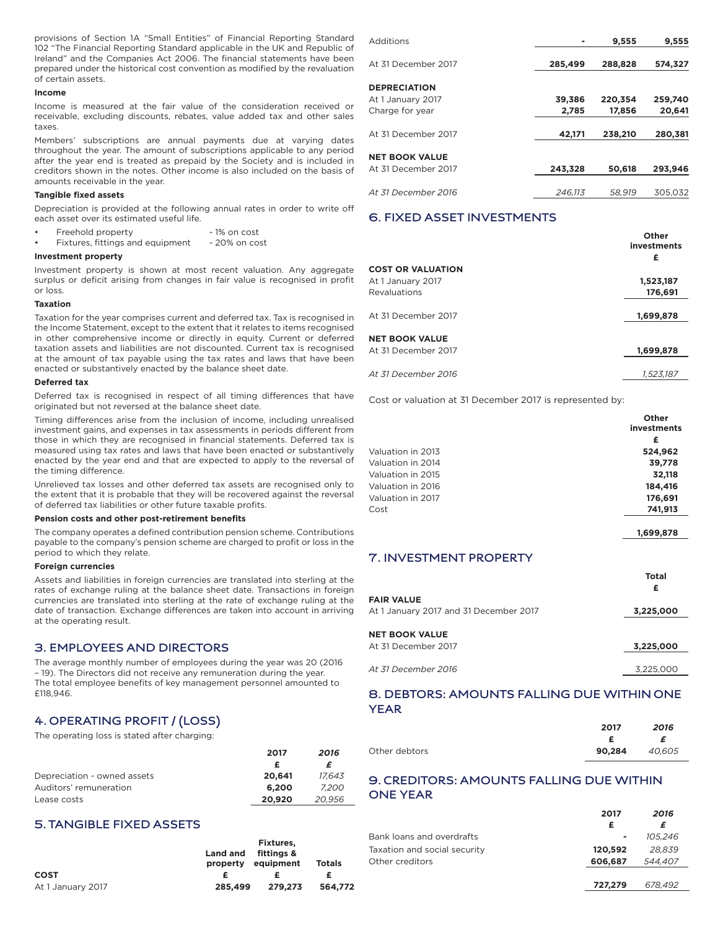provisions of Section 1A "Small Entities" of Financial Reporting Standard 102 "The Financial Reporting Standard applicable in the UK and Republic of Ireland" and the Companies Act 2006. The financial statements have been prepared under the historical cost convention as modified by the revaluation of certain assets.

#### **Income**

Income is measured at the fair value of the consideration received or receivable, excluding discounts, rebates, value added tax and other sales taxes.

Members' subscriptions are annual payments due at varying dates throughout the year. The amount of subscriptions applicable to any period after the year end is treated as prepaid by the Society and is included in creditors shown in the notes. Other income is also included on the basis of amounts receivable in the year.

#### **Tangible fixed assets**

Depreciation is provided at the following annual rates in order to write off each asset over its estimated useful life.

- Freehold property 1% on cost
- Fixtures, fittings and equipment 20% on cost

#### **Investment property**

Investment property is shown at most recent valuation. Any aggregate surplus or deficit arising from changes in fair value is recognised in profit or loss.

#### **Taxation**

Taxation for the year comprises current and deferred tax. Tax is recognised in the Income Statement, except to the extent that it relates to items recognised in other comprehensive income or directly in equity. Current or deferred taxation assets and liabilities are not discounted. Current tax is recognised at the amount of tax payable using the tax rates and laws that have been enacted or substantively enacted by the balance sheet date.

#### **Deferred tax**

Deferred tax is recognised in respect of all timing differences that have originated but not reversed at the balance sheet date.

Timing differences arise from the inclusion of income, including unrealised investment gains, and expenses in tax assessments in periods different from those in which they are recognised in financial statements. Deferred tax is measured using tax rates and laws that have been enacted or substantively enacted by the year end and that are expected to apply to the reversal of the timing difference.

Unrelieved tax losses and other deferred tax assets are recognised only to the extent that it is probable that they will be recovered against the reversal of deferred tax liabilities or other future taxable profits.

#### **Pension costs and other post-retirement benefits**

The company operates a defined contribution pension scheme. Contributions payable to the company's pension scheme are charged to profit or loss in the period to which they relate.

#### **Foreign currencies**

Assets and liabilities in foreign currencies are translated into sterling at the rates of exchange ruling at the balance sheet date. Transactions in foreign currencies are translated into sterling at the rate of exchange ruling at the date of transaction. Exchange differences are taken into account in arriving at the operating result.

#### **3. EMPLOYEES AND DIRECTORS**

The average monthly number of employees during the year was 20 (2016 – 19). The Directors did not receive any remuneration during the year. The total employee benefits of key management personnel amounted to £118,946.

## **4. OPERATING PROFIT / (LOSS)**

The operating loss is stated after charging:

|                             | 2017   | 2016   |
|-----------------------------|--------|--------|
|                             |        |        |
| Depreciation - owned assets | 20.641 | 17.643 |
| Auditors' remuneration      | 6.200  | 7.200  |
| Lease costs                 | 20,920 | 20.956 |
|                             |        |        |

### **5. TANGIBLE FIXED ASSETS**

|                   |                 | Fixtures.                        |         |
|-------------------|-----------------|----------------------------------|---------|
|                   | <b>Land and</b> | fittings &<br>property equipment | Totals  |
| <b>COST</b>       |                 |                                  |         |
| At 1 January 2017 | 285,499         | 279.273                          | 564.772 |

| Additions             |         | 9.555   | 9.555   |
|-----------------------|---------|---------|---------|
| At 31 December 2017   | 285,499 | 288,828 | 574,327 |
| <b>DEPRECIATION</b>   |         |         |         |
| At 1 January 2017     | 39,386  | 220,354 | 259,740 |
| Charge for year       | 2.785   | 17.856  | 20,641  |
| At 31 December 2017   | 42,171  | 238,210 | 280,381 |
| <b>NET BOOK VALUE</b> |         |         |         |
| At 31 December 2017   | 243,328 | 50,618  | 293,946 |
| At 31 December 2016   | 246.113 | 58.919  | 305,032 |
|                       |         |         |         |

### **6. FIXED ASSET INVESTMENTS**

|                          | Other<br>investments<br>£ |
|--------------------------|---------------------------|
| <b>COST OR VALUATION</b> |                           |
| At 1 January 2017        | 1,523,187                 |
| <b>Revaluations</b>      | 176,691                   |
|                          |                           |
| At 31 December 2017      | 1,699,878                 |
|                          |                           |
| <b>NET BOOK VALUE</b>    |                           |
| At 31 December 2017      | 1,699,878                 |
|                          |                           |
| At 31 December 2016      | 1.523.187                 |

Cost or valuation at 31 December 2017 is represented by:

|                   | Other<br>investments |
|-------------------|----------------------|
|                   | £                    |
| Valuation in 2013 | 524.962              |
| Valuation in 2014 | 39,778               |
| Valuation in 2015 | 32,118               |
| Valuation in 2016 | 184,416              |
| Valuation in 2017 | 176,691              |
| Cost              | 741,913              |
|                   |                      |

#### **1,699,878**

### **7. INVESTMENT PROPERTY**

|                                              | <b>Total</b><br>£ |
|----------------------------------------------|-------------------|
| <b>FAIR VALUE</b>                            |                   |
| At 1 January 2017 and 31 December 2017       | 3,225,000         |
| <b>NET BOOK VALUE</b><br>At 31 December 2017 | 3,225,000         |
| At 31 December 2016                          | 3.225.000         |

### **8. DEBTORS: AMOUNTS FALLING DUE WITHIN ONE YEAR**

|               | 2017   | 2016<br>£ |
|---------------|--------|-----------|
|               | Æ.     |           |
| Other debtors | 90.284 | 40.605    |

### **9. CREDITORS: AMOUNTS FALLING DUE WITHIN ONE YEAR**

|                              | 2017    | 2016    |
|------------------------------|---------|---------|
|                              |         |         |
| Bank loans and overdrafts    | ٠       | 105.246 |
| Taxation and social security | 120.592 | 28.839  |
| Other creditors              | 606.687 | 544,407 |
|                              |         |         |
|                              | 727.279 | 678,492 |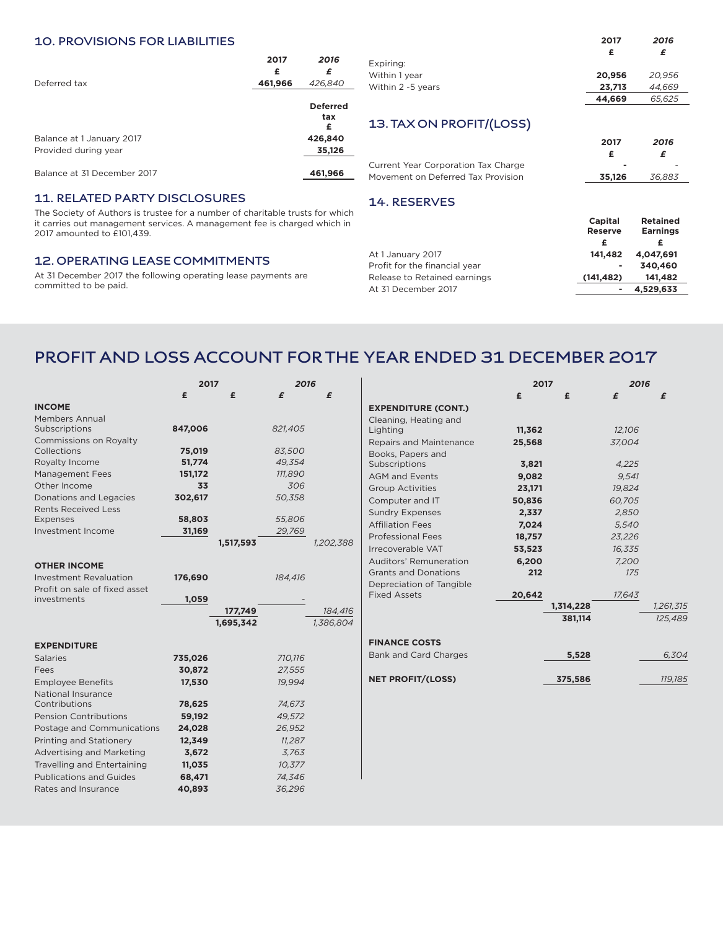### **10. PROVISIONS FOR LIABILITIES**

|                                                   | 2017<br>£ | 2016<br>£                   |
|---------------------------------------------------|-----------|-----------------------------|
| Deferred tax                                      | 461,966   | 426,840                     |
|                                                   |           | <b>Deferred</b><br>tax<br>£ |
| Balance at 1 January 2017<br>Provided during year |           | 426,840<br>35,126           |
| Balance at 31 December 2017                       |           | 461,966                     |
|                                                   |           |                             |

### **11. RELATED PARTY DISCLOSURES**

The Society of Authors is trustee for a number of charitable trus it carries out management services. A management fee is charge 2017 amounted to £101,439.

### **12. OPERATING LEASE COMMITMENTS**

At 31 December 2017 the following operating lease payments are committed to be paid.

|                             |                                     | 2017                      | 2016                               |  |
|-----------------------------|-------------------------------------|---------------------------|------------------------------------|--|
|                             |                                     | £                         | £                                  |  |
| 2016                        | Expiring:                           |                           |                                    |  |
| £                           | Within 1 year                       | 20,956                    | 20,956                             |  |
| 426,840                     | Within 2 -5 years                   | 23,713                    | 44.669                             |  |
|                             |                                     | 44,669                    | 65,625                             |  |
| <b>Deferred</b><br>tax<br>£ | 13. TAX ON PROFIT/(LOSS)            |                           |                                    |  |
| 426,840                     |                                     |                           |                                    |  |
| 35,126                      |                                     | 2017                      | 2016                               |  |
|                             |                                     | £                         | £                                  |  |
|                             | Current Year Corporation Tax Charge |                           |                                    |  |
| 461,966                     | Movement on Deferred Tax Provision  | 35,126                    | 36,883                             |  |
|                             | 14. RESERVES                        |                           |                                    |  |
| sts for which               |                                     |                           |                                    |  |
| ed which in                 |                                     | Capital<br><b>Reserve</b> | <b>Retained</b><br><b>Earnings</b> |  |

| ٠          | 340.460 |                                |
|------------|---------|--------------------------------|
| (141, 482) | 141.482 |                                |
|            |         |                                |
|            |         | 141.482 4.047.691<br>4.529.633 |

## **PROFIT AND LOSS ACCOUNT FOR THE YEAR ENDED 31 DECEMBER 2017**

|                                                                | 2017          |           | 2016           |           |
|----------------------------------------------------------------|---------------|-----------|----------------|-----------|
|                                                                | £             | £         | £              | £         |
| <b>INCOME</b>                                                  |               |           |                |           |
| <b>Members Annual</b><br>Subscriptions                         | 847,006       |           | 821,405        |           |
| Commissions on Royalty<br>Collections                          | 75,019        |           | 83,500         |           |
| Royalty Income                                                 | 51,774        |           | 49,354         |           |
| <b>Management Fees</b><br>Other Income                         | 151,172<br>33 |           | 111,890<br>306 |           |
| Donations and Legacies<br><b>Rents Received Less</b>           | 302,617       |           | 50,358         |           |
| <b>Expenses</b>                                                | 58,803        |           | 55,806         |           |
| Investment Income                                              | 31,169        |           | 29,769         |           |
|                                                                |               | 1,517,593 |                | 1,202,388 |
| <b>OTHER INCOME</b>                                            |               |           |                |           |
| <b>Investment Revaluation</b><br>Profit on sale of fixed asset | 176,690       |           | 184,416        |           |
| investments                                                    | 1,059         |           |                |           |
|                                                                |               | 177,749   |                | 184.416   |
|                                                                |               | 1.695.342 |                | 1,386,804 |
| <b>EXPENDITURE</b>                                             |               |           |                |           |
| <b>Salaries</b>                                                | 735,026       |           | 710,116        |           |
| Fees                                                           | 30,872        |           | 27,555         |           |
| <b>Employee Benefits</b><br><b>National Insurance</b>          | 17,530        |           | 19,994         |           |
| Contributions                                                  | 78,625        |           | 74,673         |           |
| <b>Pension Contributions</b>                                   | 59,192        |           | 49,572         |           |
| Postage and Communications                                     | 24,028        |           | 26,952         |           |
| Printing and Stationery                                        | 12,349        |           | 11,287         |           |
| <b>Advertising and Marketing</b>                               | 3,672         |           | 3,763          |           |
| Travelling and Entertaining                                    | 11,035        |           | 10,377         |           |
| <b>Publications and Guides</b>                                 | 68,471        |           | 74,346         |           |
| Rates and Insurance                                            | 40,893        |           | 36,296         |           |

|                                | 2017   |           | 2016   |                |
|--------------------------------|--------|-----------|--------|----------------|
|                                | £      | £         | £      | £              |
| <b>EXPENDITURE (CONT.)</b>     |        |           |        |                |
| Cleaning, Heating and          |        |           |        |                |
| Lighting                       | 11,362 |           | 12,106 |                |
| <b>Repairs and Maintenance</b> | 25.568 |           | 37.004 |                |
| Books, Papers and              |        |           |        |                |
| Subscriptions                  | 3,821  |           | 4,225  |                |
| <b>AGM and Events</b>          | 9,082  |           | 9.541  |                |
| <b>Group Activities</b>        | 23,171 |           | 19.824 |                |
| Computer and IT                | 50,836 |           | 60,705 |                |
| <b>Sundry Expenses</b>         | 2,337  |           | 2,850  |                |
| <b>Affiliation Fees</b>        | 7,024  |           | 5,540  |                |
| <b>Professional Fees</b>       | 18,757 |           | 23,226 |                |
| Irrecoverable VAT              | 53,523 |           | 16,335 |                |
| Auditors' Remuneration         | 6,200  |           | 7,200  |                |
| <b>Grants and Donations</b>    | 212    |           | 175    |                |
| Depreciation of Tangible       |        |           |        |                |
| <b>Fixed Assets</b>            | 20,642 |           | 17,643 |                |
|                                |        | 1,314,228 |        | 1,261,315      |
|                                |        | 381,114   |        | <b>125,489</b> |
|                                |        |           |        |                |
| <b>FINANCE COSTS</b>           |        |           |        |                |
| <b>Bank and Card Charges</b>   |        | 5,528     |        | 6,304          |
|                                |        |           |        |                |
| <b>NET PROFIT/(LOSS)</b>       |        | 375,586   |        | 119,185        |
|                                |        |           |        |                |